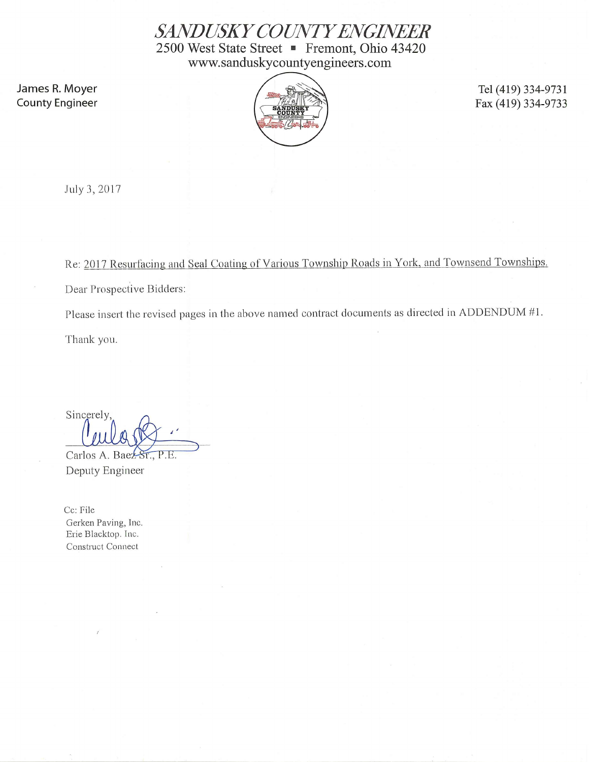SANDUSKY COUNTY ENGINEER 2500 West State Street Fremont, Ohio 43420 www.sanduskycountyengineers.com

James R. Moyer **County Engineer** 



Tel (419) 334-9731 Fax (419) 334-9733

July 3, 2017

Re: 2017 Resurfacing and Seal Coating of Various Township Roads in York, and Townsend Townships. Dear Prospective Bidders:

Please insert the revised pages in the above named contract documents as directed in ADDENDUM #1.

Thank you.

Sincerely. Carlos A. Baez-Sr.,

Deputy Engineer

Cc: File Gerken Paving, Inc. Erie Blacktop. Inc. Construct Connect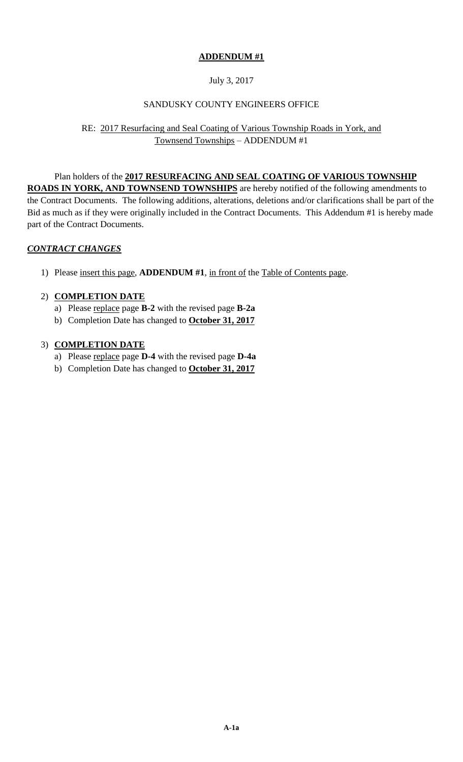## **ADDENDUM #1**

# July 3, 2017

# SANDUSKY COUNTY ENGINEERS OFFICE

# RE: 2017 Resurfacing and Seal Coating of Various Township Roads in York, and Townsend Townships – ADDENDUM #1

## Plan holders of the **2017 RESURFACING AND SEAL COATING OF VARIOUS TOWNSHIP**

**ROADS IN YORK, AND TOWNSEND TOWNSHIPS** are hereby notified of the following amendments to the Contract Documents. The following additions, alterations, deletions and/or clarifications shall be part of the Bid as much as if they were originally included in the Contract Documents. This Addendum #1 is hereby made part of the Contract Documents.

# *CONTRACT CHANGES*

1) Please insert this page, **ADDENDUM #1**, in front of the Table of Contents page.

# 2) **COMPLETION DATE**

- a) Please replace page **B-2** with the revised page **B-2a**
- b) Completion Date has changed to **October 31, 2017**

## 3) **COMPLETION DATE**

- a) Please replace page **D-4** with the revised page **D-4a**
- b) Completion Date has changed to **October 31, 2017**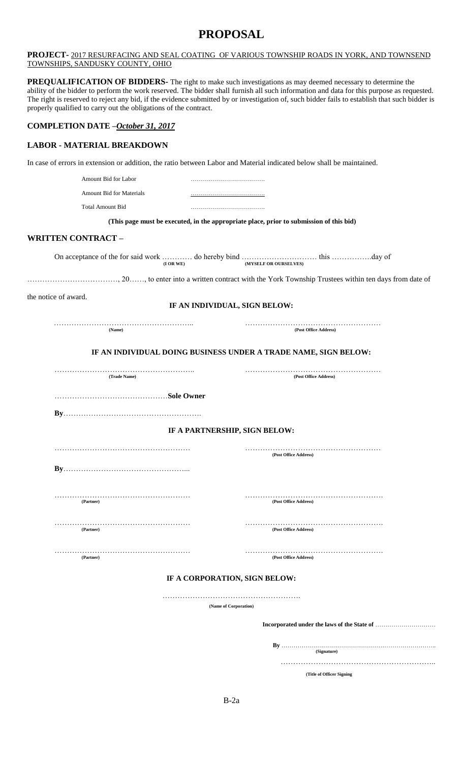# **PROPOSAL**

#### **PROJECT-** 2017 RESURFACING AND SEAL COATING OF VARIOUS TOWNSHIP ROADS IN YORK, AND TOWNSEND TOWNSHIPS, SANDUSKY COUNTY, OHIO

**PREQUALIFICATION OF BIDDERS-** The right to make such investigations as may deemed necessary to determine the ability of the bidder to perform the work reserved. The bidder shall furnish all such information and data for this purpose as requested. The right is reserved to reject any bid, if the evidence submitted by or investigation of, such bidder fails to establish that such bidder is properly qualified to carry out the obligations of the contract.

#### **COMPLETION DATE –***October 31, 2017*

#### **LABOR - MATERIAL BREAKDOWN**

In case of errors in extension or addition, the ratio between Labor and Material indicated below shall be maintained.

Amount Bid for Labor ………………………………. Amount Bid for Materials Total Amount Bid ………………………………. **(This page must be executed, in the appropriate place, prior to submission of this bid) WRITTEN CONTRACT –** On acceptance of the for said work ………… do hereby bind <u>measures</u> this ……………..day of ………………………………, 20……, to enter into a written contract with the York Township Trustees within ten days from date of the notice of award. **IF AN INDIVIDUAL, SIGN BELOW:** ……………………………………………….. ……………………………………………… **(Name) (Post Office Address) IF AN INDIVIDUAL DOING BUSINESS UNDER A TRADE NAME, SIGN BELOW:** ……………………………………………….. ……………………………………………… **(Trade Name) (Post Office Address)** ………………………………………**Sole Owner By**………………………………………………. **IF A PARTNERSHIP, SIGN BELOW:** ……………………………………………… ……………………………………………… **(Post Office Address) By**…………………………………………... ……………………………………………… ………………………………………………. **(Partner) (Post Office Address)** ……………………………………………… ………………………………………………. **(Partner) (Post Office Address)** ……………………………………………… ………………………………………………. **(Partner) (Post Office Address) IF A CORPORATION, SIGN BELOW:** ………………………………………………. **(Name of Corporation)**

> **By** ………………………………………………………………….. **(Signature)** ……………………………………………………..

**Incorporated under the laws of the State of** …………………………

 **(Title of Officer Signing**